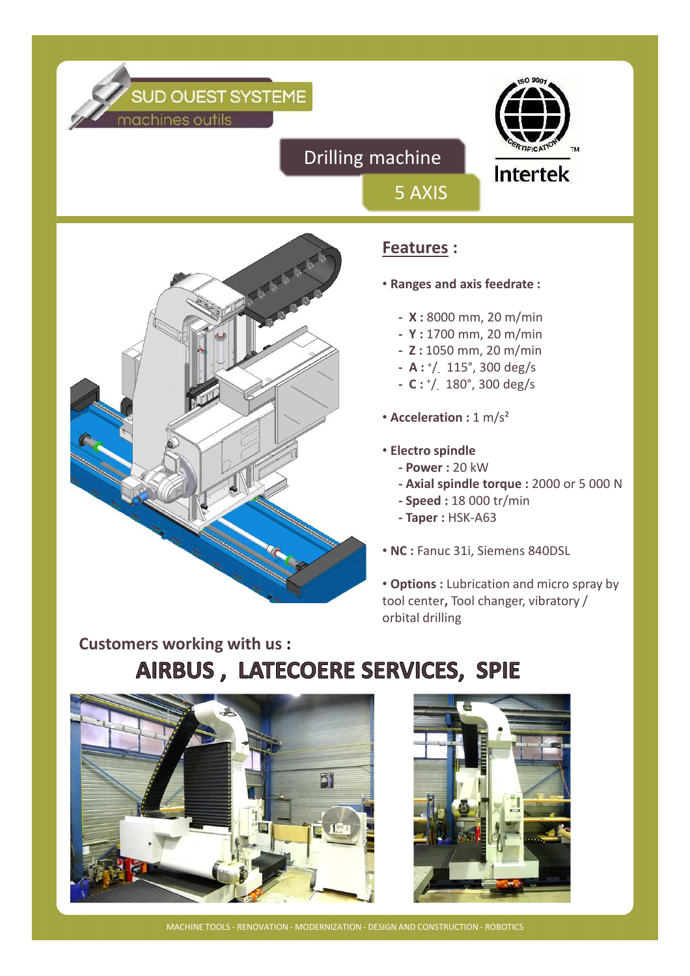



Intertek

Drilling machine



### **Features :**

5 AXIS

- **Ranges and axis feedrate :**
	- **X :** 8000 mm, 20 m/min
	- **Y :** 1700 mm, 20 m/min
	- **Z :** 1050 mm, 20 m/min
	- **A :** <sup>+</sup> /- 115°, 300 deg/s
	- **C :** <sup>+</sup> /- 180°, 300 deg/s
- **Acceleration :** 1 m/s²
- **Electro spindle**
	- **Power :** 20 kW
	- **Axial spindle torque :** 2000 or 5 000 N
	- **Speed :** 18 000 tr/min
	- **Taper :** HSK-A63
- **NC :** Fanuc 31i, Siemens 840DSL

• **Options :** Lubrication and micro spray by tool center**,** Tool changer, vibratory / orbital drilling

## **Customers working with us :** AIRBUS, LATECOERE SERVICES, SPIE





MACHINE TOOLS - RENOVATION - MODERNIZATION - DESIGN AND CONSTRUCTION - ROBOTICS